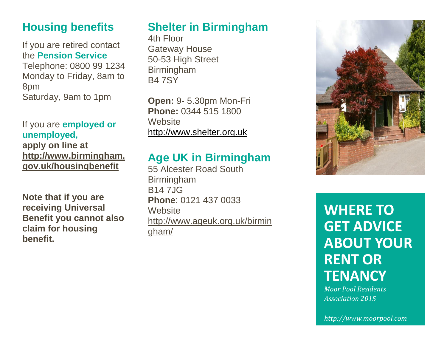### **Housing benefits**

If you are retired contact the **Pension Service** Telephone: 0800 99 1234 Monday to Friday, 8am to 8pm Saturday, 9am to 1pm

#### If you are **employed or unemployed,**

**apply on line at [http://www.birmingham.](http://www.birmingham.gov.uk/housingbenefit) [gov.uk/housingbenefit](http://www.birmingham.gov.uk/housingbenefit)**

**Note that if you are receiving Universal Benefit you cannot also claim for housing benefit.**

# **Shelter in Birmingham**

4th Floor Gateway House 50-53 High Street Birmingham B4 7SY

**Open:** 9- 5.30pm Mon-Fri **Phone:** 0344 515 1800 **Website** [http://www.shelter.org.uk](http://www.shelter.org.uk/)

#### **Age UK in Birmingham**

55 Alcester Road South Birmingham B14 7JG **Phone**: 0121 437 0033 **Website** [http://www.ageuk.org.uk/birmin](http://www.ageuk.org.uk/birmingham/) [gham/](http://www.ageuk.org.uk/birmingham/)



# **WHERE TO GET ADVICE ABOUT YOUR RENT OR TENANCY**

*Moor Pool Residents Association 2015*

*http://www.moorpool.com*